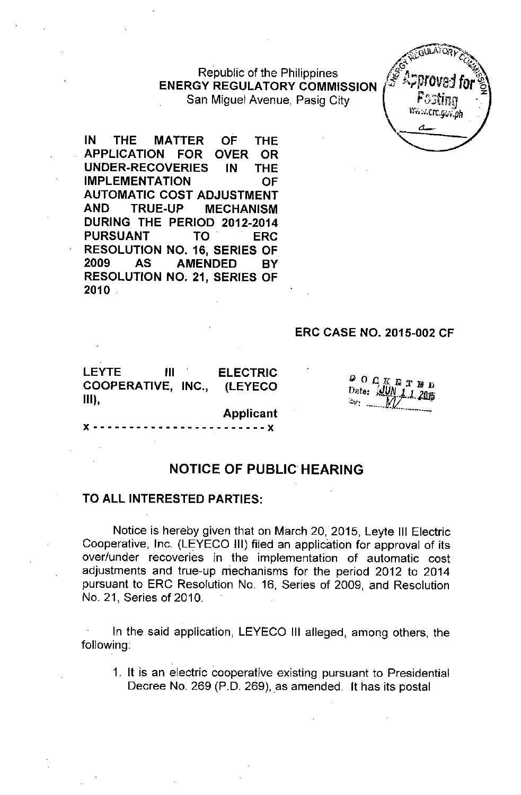Republic of the Philippines **ENERGY REGULATORY COMMISSION** San Miguel Avenue, Pasig City



IN **THE MATTER OF THE APPLICATION FOR OVER** - OR **UNDER-RECOVERIES THE** IN. **IMPLEMENTATION OF AUTOMATIC COST ADJUSTMENT AND TRUE-UP MECHANISM** DURING THE PERIOD 2012-2014 **PURSUANT TO ERC RESOLUTION NO. 16, SERIES OF** 2009 **AS AMENDED BY RESOLUTION NO. 21, SERIES OF**  $2010$ 

## **ERC CASE NO. 2015-002 CF**

**LEYTE III COOPERATIVE, INC., III), ELECTRIC (LEYECO**

x -- - -- --- - - - - - - --- - --- - -- **x**

 $\frac{D}{n}$  O  $C$  K E T Date: UU

**Applicant**

## **NOTICE OF PUBLIC HEARING**

## **TO ALL INTERESTED PARTIES:**

Notice is hereby given that on March 20,2015, Leyte **III** Electric Cooperative, Inc. (LEYECO III) filed an application for approval of its over/under recoveries in the implementation of automatic cost adjustments and true-up mechanisms for the period 2012 to 2014 pursuant to ERC Resolution No. 16, Series of 2009, and Resolution No. 21, Series of 2010.

In the said application, LEYECO **III** alleged, among others, the following:

1. **It** is an electric cooperative existing pursuant to Presidential Decree No. 269 (P.D. 269), as amended. It has its postal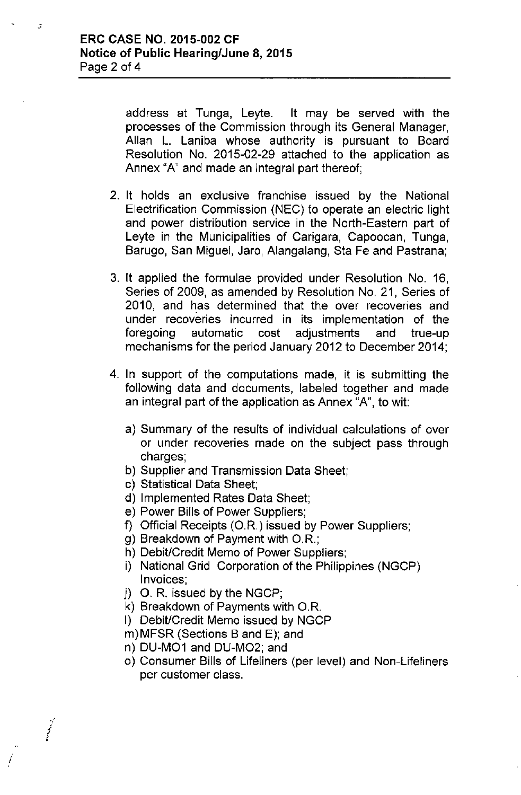address at Tunga, Leyte. It may be served with the processes of the Commission through its General Manager, Allan L. Laniba whose authority is pursuant to Board Resolution No. 2015-02-29 attached to the application as Annex "A" and made an integral part thereof;

- 2. It holds an exclusive franchise issued by the National Electrification Commission (NEC) to operate an electric light and power distribution service in the North-Eastern part of Leyte in the Municipalities of Carigara, Capoocan, Tunga, Barugo, San Miguel, Jaro, Alangalang, Sta Fe and Pastrana;
- 3. It applied the formulae provided under Resolution No. 16, Series of 2009, as amended by Resolution No. 21, Series of 2010, and has determined that the over recoveries and under recoveries incurred in its implementation of the foregoing automatic cost adjustments and true-up mechanisms for the period January 2012 to December 2014;
- 4. In support of the computations made, it is submitting the foliowing data and documents, labeled together and made an integral part of the application as Annex "A", to wit:
	- a) Summary of the results of individual calculations of over or under recoveries made on the subject pass through charges;
	- b) Supplier and Transmission Data Sheet;
	- c) Statistical Data Sheet;
	- d) Implemented Rates Data Sheet;
	- e) Power Bills of Power Suppliers;
	- f) Official Receipts *(OR.)* issued by Power Suppliers;
	- g) Breakdown of Payment with *OR.;*
	- h) Debit/Credit Memo of Power Suppliers;
	- i) National Grid Corporation of the Philippines (NGCP) Invoices;
	- j) O. R. issued by the NGCP;
	- k) Breakdown of Payments with O.R.
	- I) Debit/Credit Memo issued by NGCP
	- m)MFSR (Sections B and E); and
	- n) DU-M01 and DU-M02; and

 $\hat{f}$ •

*.j* ! i

 $\mathcal{I}$ 

0) Consumer Bills of Lifeliners (per level) and Non-Lifeliners per customer class .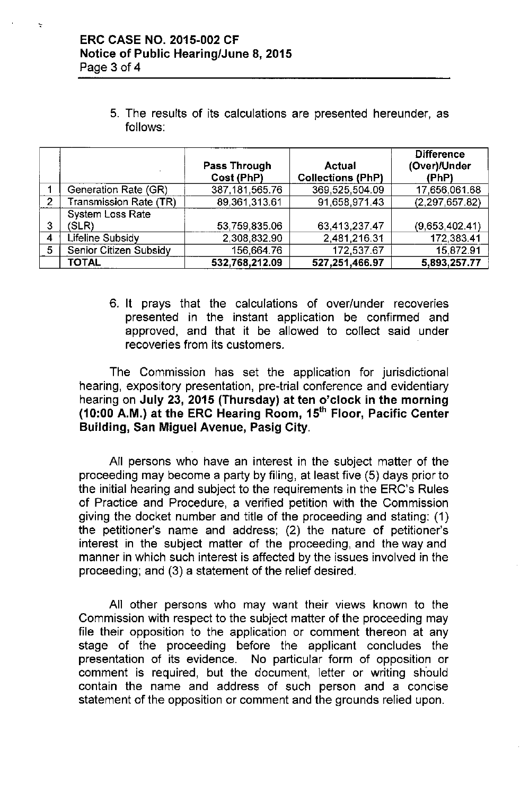5. The results of its calculations are presented hereunder, as follows:

|                |                         |                   |                          | <b>Difference</b> |
|----------------|-------------------------|-------------------|--------------------------|-------------------|
|                |                         | Pass Through      | Actual                   | (Over)/Under      |
|                |                         | Cost (PhP)        | <b>Collections (PhP)</b> | (PhP)             |
|                | Generation Rate (GR)    | 387, 181, 565. 76 | 369,525,504.09           | 17,656,061.68     |
| $\overline{2}$ | Transmission Rate (TR)  | 89,361,313.61     | 91,658,971.43            | (2, 297, 657.82)  |
|                | <b>System Loss Rate</b> |                   |                          |                   |
| 3              | (SLR)                   | 53,759,835.06     | 63,413,237,47            | (9,653,402.41)    |
| 4              | Lifeline Subsidy        | 2,308,832.90      | 2,481,216.31             | 172,383.41        |
| 5              | Senior Citizen Subsidy  | 156,664.76        | 172,537.67               | 15.872.91         |
|                | <b>TOTAL</b>            | 532,768,212.09    | 527,251,466.97           | 5,893,257.77      |

6. It prays that the calculations of over/under recoveries presented in the instant application be confirmed and approved, and that it be allowed to collect said under recoveries from its customers.

The Commission has set the application for jurisdictional hearing, expository presentation, pre-trial conference and evidentiary hearing on July 23, 2015 (Thursday) at ten o'clock in the morning (10:00 A.M.) at the ERC Hearing Room, 15'h Floor, Pacific Center Building, San Miguel Avenue, Pasig City.

All persons who have an interest in the subject matter of the proceeding may become a party by filing, at least five (5) days prior to the initial hearing and subject to the requirements in the ERC's Rules of Practice and Procedure, a verified petition with the Commission giving the docket number and title of the proceeding and stating: (1) the petitioner's name and address; (2) the nature of petitioner's interest in the subject matter of the proceeding, and the way and manner in which such interest is affected by the issues involved in the proceeding; and (3) a statement of the relief desired.

All other persons who may want their views known to the Commission with respect to the subject matter of the proceeding may file their opposition to the application or comment thereon at any stage of the proceeding before the applicant concludes the presentation of its evidence. No particular form of opposition or comment is required, but the document, letter or writing should contain the name and address of such person and a concise statement of the opposition or comment and the grounds relied upon.